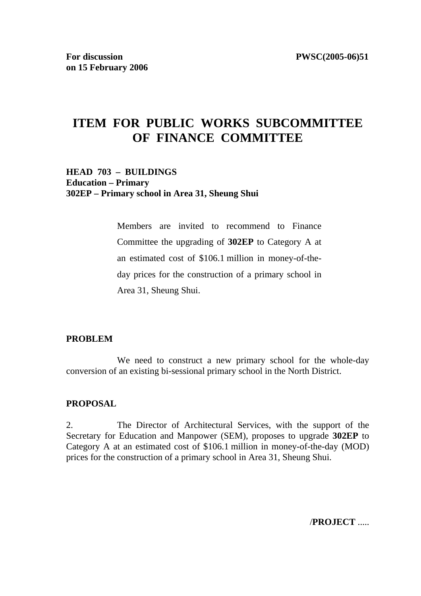# **ITEM FOR PUBLIC WORKS SUBCOMMITTEE OF FINANCE COMMITTEE**

### **HEAD 703 – BUILDINGS Education – Primary 302EP – Primary school in Area 31, Sheung Shui**

Members are invited to recommend to Finance Committee the upgrading of **302EP** to Category A at an estimated cost of \$106.1 million in money-of-theday prices for the construction of a primary school in Area 31, Sheung Shui.

#### **PROBLEM**

We need to construct a new primary school for the whole-day conversion of an existing bi-sessional primary school in the North District.

#### **PROPOSAL**

2. The Director of Architectural Services, with the support of the Secretary for Education and Manpower (SEM), proposes to upgrade **302EP** to Category A at an estimated cost of \$106.1 million in money-of-the-day (MOD) prices for the construction of a primary school in Area 31, Sheung Shui.

/**PROJECT** .....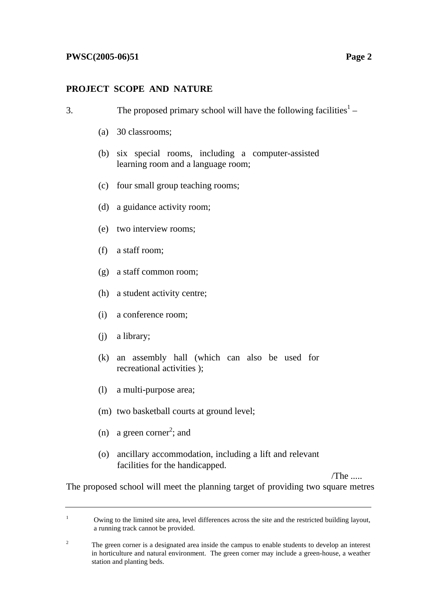### **PROJECT SCOPE AND NATURE**

| 3. |     | The proposed primary school will have the following facilities <sup>1</sup> –              |         |  |
|----|-----|--------------------------------------------------------------------------------------------|---------|--|
|    |     | (a) 30 classrooms;                                                                         |         |  |
|    |     | (b) six special rooms, including a computer-assisted<br>learning room and a language room; |         |  |
|    | (c) | four small group teaching rooms;                                                           |         |  |
|    |     | (d) a guidance activity room;                                                              |         |  |
|    |     | (e) two interview rooms;                                                                   |         |  |
|    |     | $(f)$ a staff room;                                                                        |         |  |
|    |     | (g) a staff common room;                                                                   |         |  |
|    |     | (h) a student activity centre;                                                             |         |  |
|    | (i) | a conference room;                                                                         |         |  |
|    | (j) | a library;                                                                                 |         |  |
|    |     | (k) an assembly hall (which can also be used for<br>recreational activities );             |         |  |
|    | (1) | a multi-purpose area;                                                                      |         |  |
|    |     | (m) two basketball courts at ground level;                                                 |         |  |
|    |     | (n) a green corner <sup>2</sup> ; and                                                      |         |  |
|    | (0) | ancillary accommodation, including a lift and relevant<br>facilities for the handicapped.  | $/$ The |  |

The proposed school will meet the planning target of providing two square metres

1 Owing to the limited site area, level differences across the site and the restricted building layout, a running track cannot be provided.

<sup>2</sup> The green corner is a designated area inside the campus to enable students to develop an interest in horticulture and natural environment. The green corner may include a green-house, a weather station and planting beds.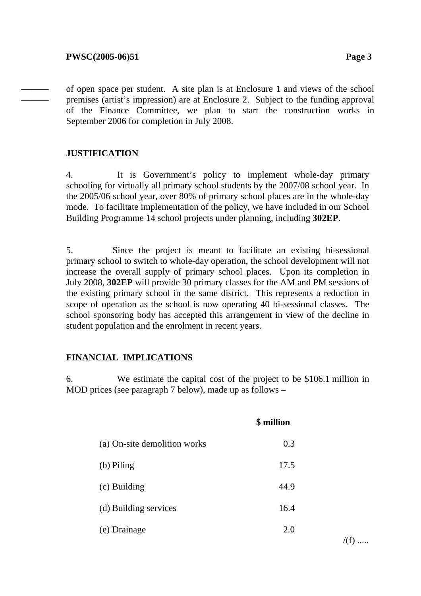——— ——— of open space per student. A site plan is at Enclosure 1 and views of the school premises (artist's impression) are at Enclosure 2. Subject to the funding approval of the Finance Committee, we plan to start the construction works in September 2006 for completion in July 2008.

# **JUSTIFICATION**

4. It is Government's policy to implement whole-day primary schooling for virtually all primary school students by the 2007/08 school year. In the 2005/06 school year, over 80% of primary school places are in the whole-day mode. To facilitate implementation of the policy, we have included in our School Building Programme 14 school projects under planning, including **302EP**.

5. Since the project is meant to facilitate an existing bi-sessional primary school to switch to whole-day operation, the school development will not increase the overall supply of primary school places. Upon its completion in July 2008, **302EP** will provide 30 primary classes for the AM and PM sessions of the existing primary school in the same district. This represents a reduction in scope of operation as the school is now operating 40 bi-sessional classes. The school sponsoring body has accepted this arrangement in view of the decline in student population and the enrolment in recent years.

#### **FINANCIAL IMPLICATIONS**

6. We estimate the capital cost of the project to be \$106.1 million in MOD prices (see paragraph 7 below), made up as follows –

**\$ million** 

|                              | <b>*************</b> |
|------------------------------|----------------------|
| (a) On-site demolition works | 0.3                  |
| (b) Piling                   | 17.5                 |
| (c) Building                 | 44.9                 |
| (d) Building services        | 16.4                 |
| (e) Drainage                 | 2.0                  |

 $/(f)$  .....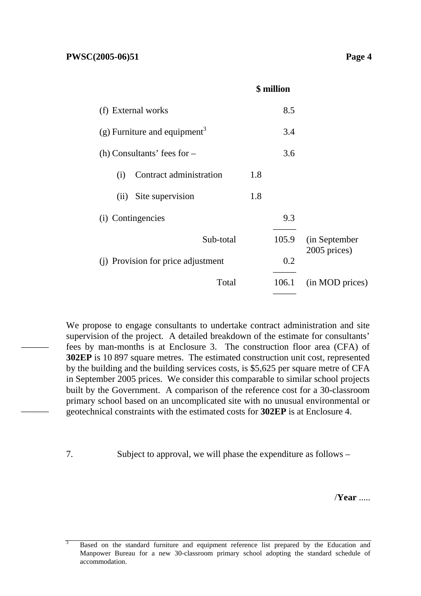———

———

| (f) External works                       |     | 8.5   |                               |
|------------------------------------------|-----|-------|-------------------------------|
| (g) Furniture and equipment <sup>3</sup> |     | 3.4   |                               |
| (h) Consultants' fees for $-$            |     | 3.6   |                               |
| Contract administration<br>(i)           | 1.8 |       |                               |
| Site supervision<br>(ii)                 | 1.8 |       |                               |
| (i) Contingencies                        |     | 9.3   |                               |
| Sub-total                                |     | 105.9 | (in September<br>2005 prices) |
| (j) Provision for price adjustment       |     | 0.2   |                               |
| Total                                    |     | 106.1 | (in MOD prices)               |
|                                          |     |       |                               |

**\$ million** 

We propose to engage consultants to undertake contract administration and site supervision of the project. A detailed breakdown of the estimate for consultants' fees by man-months is at Enclosure 3. The construction floor area (CFA) of **302EP** is 10 897 square metres. The estimated construction unit cost, represented by the building and the building services costs, is \$5,625 per square metre of CFA in September 2005 prices. We consider this comparable to similar school projects built by the Government. A comparison of the reference cost for a 30-classroom primary school based on an uncomplicated site with no unusual environmental or geotechnical constraints with the estimated costs for **302EP** is at Enclosure 4.

7. Subject to approval, we will phase the expenditure as follows –

/**Year** .....

<sup>3</sup> Based on the standard furniture and equipment reference list prepared by the Education and Manpower Bureau for a new 30-classroom primary school adopting the standard schedule of accommodation.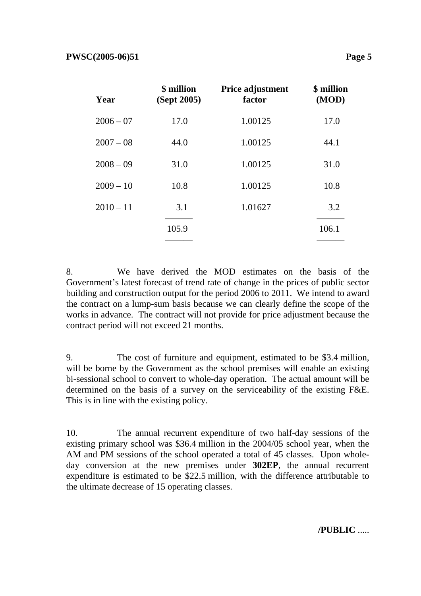| Year        | \$ million<br>(Sept 2005) | Price adjustment<br>factor | \$ million<br>(MOD) |
|-------------|---------------------------|----------------------------|---------------------|
| $2006 - 07$ | 17.0                      | 1.00125                    | 17.0                |
| $2007 - 08$ | 44.0                      | 1.00125                    | 44.1                |
| $2008 - 09$ | 31.0                      | 1.00125                    | 31.0                |
| $2009 - 10$ | 10.8                      | 1.00125                    | 10.8                |
| $2010 - 11$ | 3.1                       | 1.01627                    | 3.2                 |
|             | 105.9                     |                            | 106.1               |
|             |                           |                            |                     |

8. We have derived the MOD estimates on the basis of the Government's latest forecast of trend rate of change in the prices of public sector building and construction output for the period 2006 to 2011. We intend to award the contract on a lump-sum basis because we can clearly define the scope of the works in advance. The contract will not provide for price adjustment because the contract period will not exceed 21 months.

9. The cost of furniture and equipment, estimated to be \$3.4 million, will be borne by the Government as the school premises will enable an existing bi-sessional school to convert to whole-day operation. The actual amount will be determined on the basis of a survey on the serviceability of the existing F&E. This is in line with the existing policy.

10. The annual recurrent expenditure of two half-day sessions of the existing primary school was \$36.4 million in the 2004/05 school year, when the AM and PM sessions of the school operated a total of 45 classes. Upon wholeday conversion at the new premises under **302EP**, the annual recurrent expenditure is estimated to be \$22.5 million, with the difference attributable to the ultimate decrease of 15 operating classes.

**/PUBLIC** .....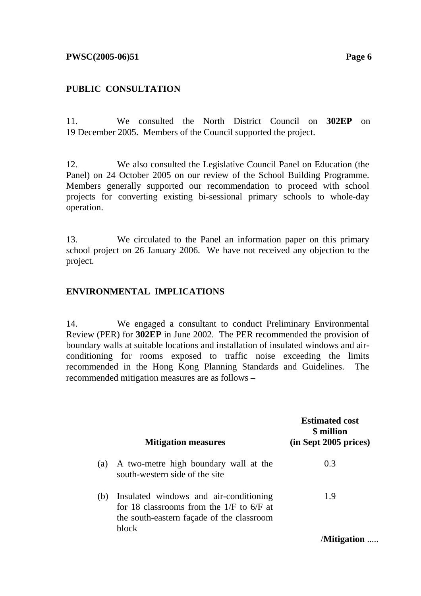#### **PWSC(2005-06)51** Page 6

### **PUBLIC CONSULTATION**

11. We consulted the North District Council on **302EP** on 19 December 2005. Members of the Council supported the project.

12. We also consulted the Legislative Council Panel on Education (the Panel) on 24 October 2005 on our review of the School Building Programme. Members generally supported our recommendation to proceed with school projects for converting existing bi-sessional primary schools to whole-day operation.

13. We circulated to the Panel an information paper on this primary school project on 26 January 2006. We have not received any objection to the project.

### **ENVIRONMENTAL IMPLICATIONS**

14. We engaged a consultant to conduct Preliminary Environmental Review (PER) for **302EP** in June 2002. The PER recommended the provision of boundary walls at suitable locations and installation of insulated windows and airconditioning for rooms exposed to traffic noise exceeding the limits recommended in the Hong Kong Planning Standards and Guidelines. The recommended mitigation measures are as follows –

|     | <b>Mitigation measures</b>                                                                                                                 | <b>Estimated cost</b><br>\$ million<br>$(in$ Sept 2005 prices) |
|-----|--------------------------------------------------------------------------------------------------------------------------------------------|----------------------------------------------------------------|
| (a) | A two-metre high boundary wall at the<br>south-western side of the site                                                                    | 0.3                                                            |
| (b) | Insulated windows and air-conditioning<br>for 18 classrooms from the $1/F$ to 6/F at<br>the south-eastern façade of the classroom<br>block | 1.9                                                            |
|     |                                                                                                                                            | /Mitigation                                                    |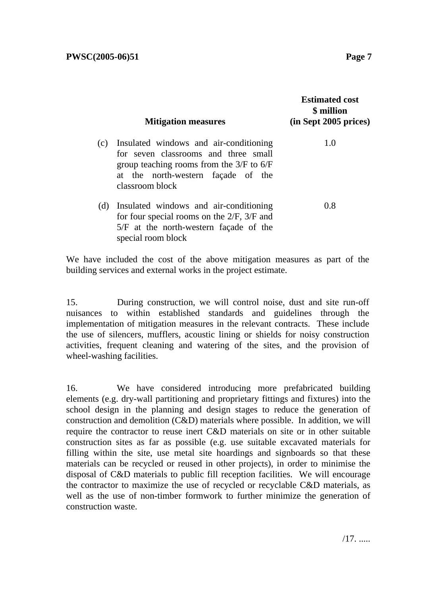|     | <b>Mitigation measures</b>                                                                                                                                                              | <b>Estimated cost</b><br>\$ million<br>(in Sept 2005 prices) |
|-----|-----------------------------------------------------------------------------------------------------------------------------------------------------------------------------------------|--------------------------------------------------------------|
| (c) | Insulated windows and air-conditioning<br>for seven classrooms and three small<br>group teaching rooms from the $3/F$ to $6/F$<br>at the north-western façade of the<br>classroom block | 1.0                                                          |
| (d) | Insulated windows and air-conditioning<br>for four special rooms on the $2/F$ , $3/F$ and<br>$5/F$ at the north-western façade of the<br>special room block                             | 0.8                                                          |

We have included the cost of the above mitigation measures as part of the building services and external works in the project estimate.

15. During construction, we will control noise, dust and site run-off nuisances to within established standards and guidelines through the implementation of mitigation measures in the relevant contracts. These include the use of silencers, mufflers, acoustic lining or shields for noisy construction activities, frequent cleaning and watering of the sites, and the provision of wheel-washing facilities.

16. We have considered introducing more prefabricated building elements (e.g. dry-wall partitioning and proprietary fittings and fixtures) into the school design in the planning and design stages to reduce the generation of construction and demolition (C&D) materials where possible. In addition, we will require the contractor to reuse inert C&D materials on site or in other suitable construction sites as far as possible (e.g. use suitable excavated materials for filling within the site, use metal site hoardings and signboards so that these materials can be recycled or reused in other projects), in order to minimise the disposal of C&D materials to public fill reception facilities. We will encourage the contractor to maximize the use of recycled or recyclable C&D materials, as well as the use of non-timber formwork to further minimize the generation of construction waste.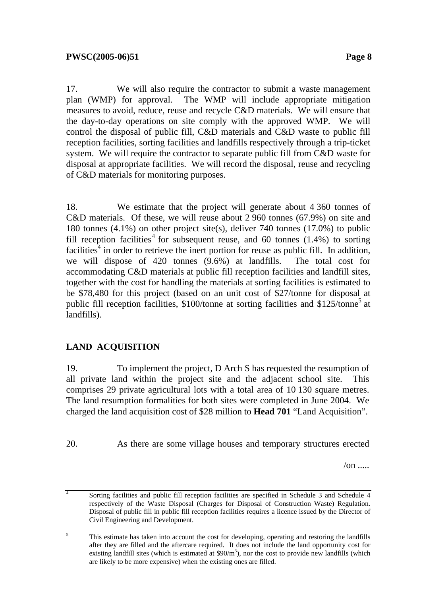17. We will also require the contractor to submit a waste management plan (WMP) for approval. The WMP will include appropriate mitigation measures to avoid, reduce, reuse and recycle C&D materials. We will ensure that the day-to-day operations on site comply with the approved WMP. We will control the disposal of public fill, C&D materials and C&D waste to public fill reception facilities, sorting facilities and landfills respectively through a trip-ticket system. We will require the contractor to separate public fill from C&D waste for disposal at appropriate facilities. We will record the disposal, reuse and recycling of C&D materials for monitoring purposes.

18. We estimate that the project will generate about 4 360 tonnes of C&D materials. Of these, we will reuse about 2 960 tonnes (67.9%) on site and 180 tonnes (4.1%) on other project site(s), deliver 740 tonnes (17.0%) to public fill reception facilities<sup>4</sup> for subsequent reuse, and 60 tonnes  $(1.4%)$  to sorting facilities<sup>4</sup> in order to retrieve the inert portion for reuse as public fill. In addition, we will dispose of 420 tonnes (9.6%) at landfills. The total cost for accommodating C&D materials at public fill reception facilities and landfill sites, together with the cost for handling the materials at sorting facilities is estimated to be \$78,480 for this project (based on an unit cost of \$27/tonne for disposal at public fill reception facilities, \$100/tonne at sorting facilities and \$125/tonne<sup>5</sup> at landfills).

# **LAND ACQUISITION**

19. To implement the project, D Arch S has requested the resumption of all private land within the project site and the adjacent school site. This comprises 29 private agricultural lots with a total area of 10 130 square metres. The land resumption formalities for both sites were completed in June 2004. We charged the land acquisition cost of \$28 million to **Head 701** "Land Acquisition".

20. As there are some village houses and temporary structures erected

 $\sqrt{on}$  ....

<sup>4</sup> Sorting facilities and public fill reception facilities are specified in Schedule 3 and Schedule 4 respectively of the Waste Disposal (Charges for Disposal of Construction Waste) Regulation. Disposal of public fill in public fill reception facilities requires a licence issued by the Director of Civil Engineering and Development.

<sup>5</sup> This estimate has taken into account the cost for developing, operating and restoring the landfills after they are filled and the aftercare required. It does not include the land opportunity cost for existing landfill sites (which is estimated at  $$90/m<sup>3</sup>$ ), nor the cost to provide new landfills (which are likely to be more expensive) when the existing ones are filled.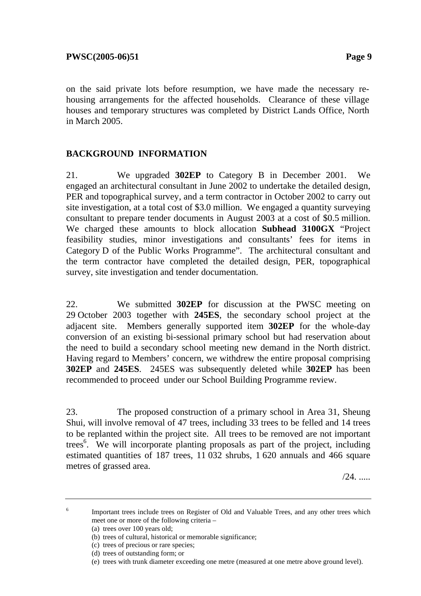on the said private lots before resumption, we have made the necessary rehousing arrangements for the affected households. Clearance of these village houses and temporary structures was completed by District Lands Office, North in March 2005.

# **BACKGROUND INFORMATION**

21. We upgraded **302EP** to Category B in December 2001. We engaged an architectural consultant in June 2002 to undertake the detailed design, PER and topographical survey, and a term contractor in October 2002 to carry out site investigation, at a total cost of \$3.0 million. We engaged a quantity surveying consultant to prepare tender documents in August 2003 at a cost of \$0.5 million. We charged these amounts to block allocation **Subhead 3100GX** "Project feasibility studies, minor investigations and consultants' fees for items in Category D of the Public Works Programme". The architectural consultant and the term contractor have completed the detailed design, PER, topographical survey, site investigation and tender documentation.

22. We submitted **302EP** for discussion at the PWSC meeting on 29 October 2003 together with **245ES**, the secondary school project at the adjacent site. Members generally supported item **302EP** for the whole-day conversion of an existing bi-sessional primary school but had reservation about the need to build a secondary school meeting new demand in the North district. Having regard to Members' concern, we withdrew the entire proposal comprising **302EP** and **245ES**. 245ES was subsequently deleted while **302EP** has been recommended to proceed under our School Building Programme review.

23. The proposed construction of a primary school in Area 31, Sheung Shui, will involve removal of 47 trees, including 33 trees to be felled and 14 trees to be replanted within the project site. All trees to be removed are not important trees<sup>6</sup>. We will incorporate planting proposals as part of the project, including estimated quantities of 187 trees, 11 032 shrubs, 1 620 annuals and 466 square metres of grassed area.

/24. .....

 Important trees include trees on Register of Old and Valuable Trees, and any other trees which meet one or more of the following criteria –

(a) trees over 100 years old;

6

<sup>(</sup>b) trees of cultural, historical or memorable significance;

<sup>(</sup>c) trees of precious or rare species;

<sup>(</sup>d) trees of outstanding form; or

<sup>(</sup>e) trees with trunk diameter exceeding one metre (measured at one metre above ground level).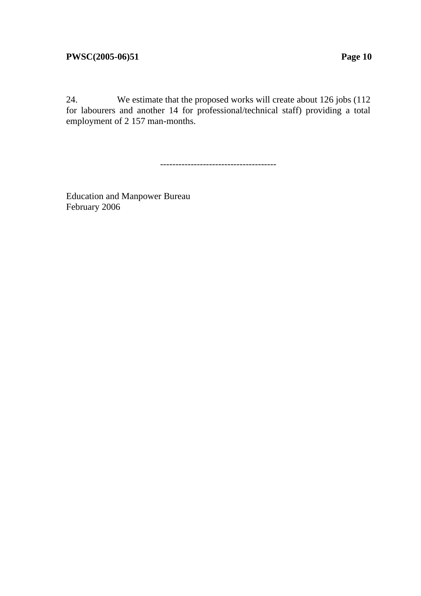### **PWSC(2005-06)51** Page 10

24. We estimate that the proposed works will create about 126 jobs (112 for labourers and another 14 for professional/technical staff) providing a total employment of 2 157 man-months.

--------------------------------------

Education and Manpower Bureau February 2006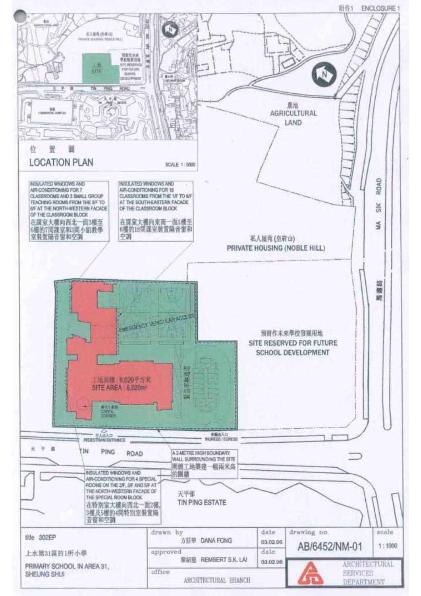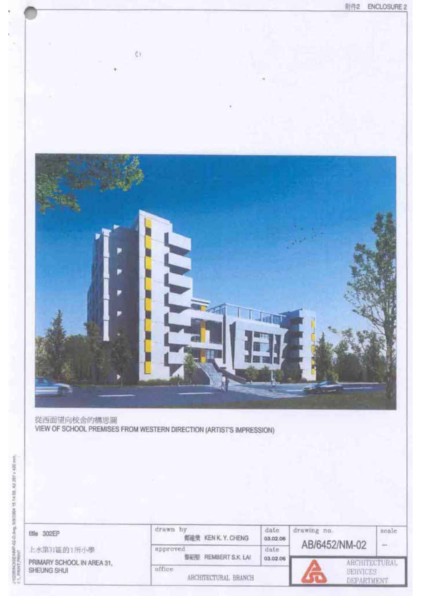

drawn by date drawing no. seale title 302EP 邮建量 KEN K. Y. CHENG 03.02.06 AB/6452/NM-02 ÷. 上水第31區的1所小學 approved date **製鋼整 REMBERT S.K. LAI** 03.02.06 PRIMARY SCHOOL IN AREA 31, **ARCHITECTURAL** office SHEUNG SHUI SERVICES ARCHITECTURAL BRANCH DEPARTMENT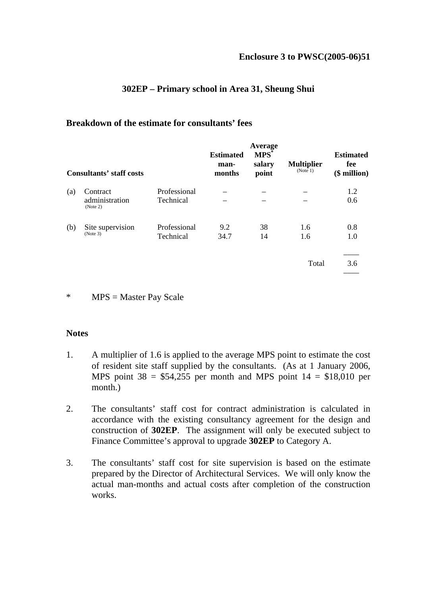#### **Enclosure 3 to PWSC(2005-06)51**

#### **302EP – Primary school in Area 31, Sheung Shui**

#### **Breakdown of the estimate for consultants' fees**

| <b>Consultants' staff costs</b> |                                          |                           | <b>Estimated</b><br>man-<br>months | Average<br>$MPS^*$<br>salary<br>point | <b>Multiplier</b><br>(Note 1) | <b>Estimated</b><br>fee<br>$$$ million) |
|---------------------------------|------------------------------------------|---------------------------|------------------------------------|---------------------------------------|-------------------------------|-----------------------------------------|
| (a)                             | Contract<br>administration               | Professional<br>Technical |                                    |                                       |                               | 1.2<br>0.6                              |
| (b)                             | (Note 2)<br>Site supervision<br>(Note 3) | Professional<br>Technical | 9.2<br>34.7                        | 38<br>14                              | 1.6<br>1.6                    | 0.8<br>1.0                              |
|                                 |                                          |                           |                                    |                                       | Total                         | 3.6                                     |

#### \* MPS = Master Pay Scale

#### **Notes**

- 1. A multiplier of 1.6 is applied to the average MPS point to estimate the cost of resident site staff supplied by the consultants. (As at 1 January 2006, MPS point  $38 = $54,255$  per month and MPS point  $14 = $18,010$  per month.)
- 2. The consultants' staff cost for contract administration is calculated in accordance with the existing consultancy agreement for the design and construction of **302EP**. The assignment will only be executed subject to Finance Committee's approval to upgrade **302EP** to Category A.
- 3. The consultants' staff cost for site supervision is based on the estimate prepared by the Director of Architectural Services. We will only know the actual man-months and actual costs after completion of the construction works.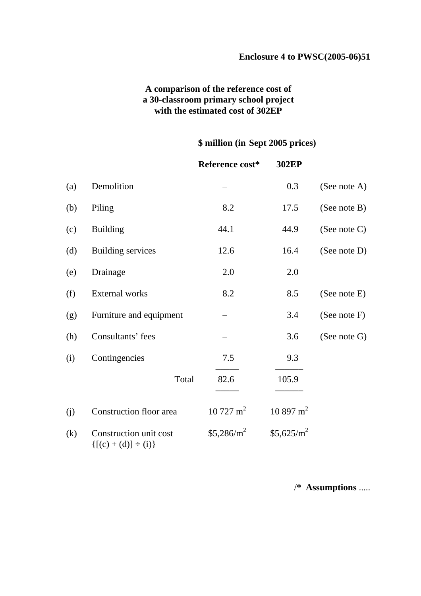# **A comparison of the reference cost of a 30-classroom primary school project with the estimated cost of 302EP**

# **\$ million (in Sept 2005 prices)**

|     |                                                       | Reference cost*     | 302EP               |                 |
|-----|-------------------------------------------------------|---------------------|---------------------|-----------------|
| (a) | Demolition                                            |                     | 0.3                 | (See note A)    |
| (b) | Piling                                                | 8.2                 | 17.5                | (See note B)    |
| (c) | <b>Building</b>                                       | 44.1                | 44.9                | (See note $C$ ) |
| (d) | <b>Building services</b>                              | 12.6                | 16.4                | (See note D)    |
| (e) | Drainage                                              | 2.0                 | 2.0                 |                 |
| (f) | <b>External works</b>                                 | 8.2                 | 8.5                 | (See note E)    |
| (g) | Furniture and equipment                               |                     | 3.4                 | (See note $F$ ) |
| (h) | Consultants' fees                                     |                     | 3.6                 | (See note G)    |
| (i) | Contingencies                                         | 7.5                 | 9.3                 |                 |
|     | Total                                                 | 82.6                | 105.9               |                 |
| (j) | Construction floor area                               | $10727 \text{ m}^2$ | $10897 \text{ m}^2$ |                 |
| (k) | Construction unit cost<br>$\{[(c) + (d)] \div (i)\}\$ | $$5,286/m^2$        | $$5,625/m^2$        |                 |

/**\* Assumptions** .....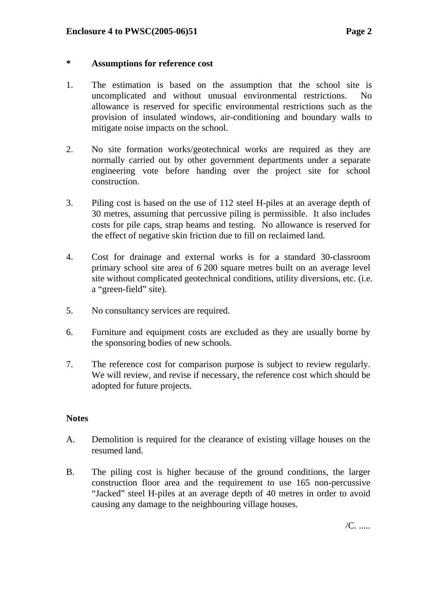#### **\* Assumptions for reference cost**

- 1. The estimation is based on the assumption that the school site is uncomplicated and without unusual environmental restrictions. No allowance is reserved for specific environmental restrictions such as the provision of insulated windows, air-conditioning and boundary walls to mitigate noise impacts on the school.
- 2. No site formation works/geotechnical works are required as they are normally carried out by other government departments under a separate engineering vote before handing over the project site for school construction.
- 3. Piling cost is based on the use of 112 steel H-piles at an average depth of 30 metres, assuming that percussive piling is permissible. It also includes costs for pile caps, strap beams and testing. No allowance is reserved for the effect of negative skin friction due to fill on reclaimed land.
- 4. Cost for drainage and external works is for a standard 30-classroom primary school site area of 6 200 square metres built on an average level site without complicated geotechnical conditions, utility diversions, etc. (i.e. a "green-field" site).
- 5. No consultancy services are required.
- 6. Furniture and equipment costs are excluded as they are usually borne by the sponsoring bodies of new schools.
- 7. The reference cost for comparison purpose is subject to review regularly. We will review, and revise if necessary, the reference cost which should be adopted for future projects.

#### **Notes**

- A. Demolition is required for the clearance of existing village houses on the resumed land.
- B. The piling cost is higher because of the ground conditions, the larger construction floor area and the requirement to use 165 non-percussive "Jacked" steel H-piles at an average depth of 40 metres in order to avoid causing any damage to the neighbouring village houses.